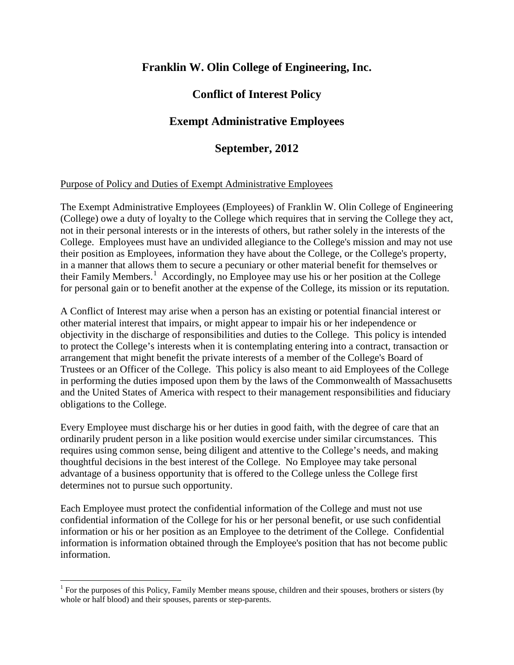# **Franklin W. Olin College of Engineering, Inc.**

# **Conflict of Interest Policy**

# **Exempt Administrative Employees**

# **September, 2012**

## Purpose of Policy and Duties of Exempt Administrative Employees

The Exempt Administrative Employees (Employees) of Franklin W. Olin College of Engineering (College) owe a duty of loyalty to the College which requires that in serving the College they act, not in their personal interests or in the interests of others, but rather solely in the interests of the College. Employees must have an undivided allegiance to the College's mission and may not use their position as Employees, information they have about the College, or the College's property, in a manner that allows them to secure a pecuniary or other material benefit for themselves or their Family Members.<sup>[1](#page-0-0)</sup> Accordingly, no Employee may use his or her position at the College for personal gain or to benefit another at the expense of the College, its mission or its reputation.

A Conflict of Interest may arise when a person has an existing or potential financial interest or other material interest that impairs, or might appear to impair his or her independence or objectivity in the discharge of responsibilities and duties to the College. This policy is intended to protect the College's interests when it is contemplating entering into a contract, transaction or arrangement that might benefit the private interests of a member of the College's Board of Trustees or an Officer of the College. This policy is also meant to aid Employees of the College in performing the duties imposed upon them by the laws of the Commonwealth of Massachusetts and the United States of America with respect to their management responsibilities and fiduciary obligations to the College.

Every Employee must discharge his or her duties in good faith, with the degree of care that an ordinarily prudent person in a like position would exercise under similar circumstances. This requires using common sense, being diligent and attentive to the College's needs, and making thoughtful decisions in the best interest of the College. No Employee may take personal advantage of a business opportunity that is offered to the College unless the College first determines not to pursue such opportunity.

Each Employee must protect the confidential information of the College and must not use confidential information of the College for his or her personal benefit, or use such confidential information or his or her position as an Employee to the detriment of the College. Confidential information is information obtained through the Employee's position that has not become public information.

<span id="page-0-0"></span> $1$  For the purposes of this Policy, Family Member means spouse, children and their spouses, brothers or sisters (by whole or half blood) and their spouses, parents or step-parents.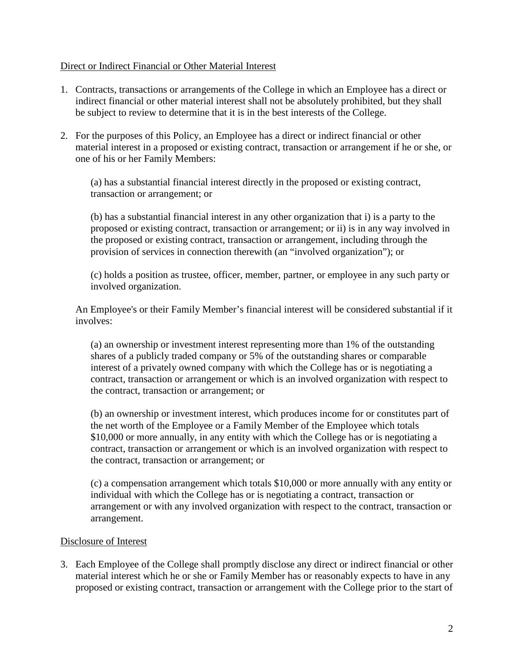## Direct or Indirect Financial or Other Material Interest

- 1. Contracts, transactions or arrangements of the College in which an Employee has a direct or indirect financial or other material interest shall not be absolutely prohibited, but they shall be subject to review to determine that it is in the best interests of the College.
- 2. For the purposes of this Policy, an Employee has a direct or indirect financial or other material interest in a proposed or existing contract, transaction or arrangement if he or she, or one of his or her Family Members:

(a) has a substantial financial interest directly in the proposed or existing contract, transaction or arrangement; or

(b) has a substantial financial interest in any other organization that i) is a party to the proposed or existing contract, transaction or arrangement; or ii) is in any way involved in the proposed or existing contract, transaction or arrangement, including through the provision of services in connection therewith (an "involved organization"); or

(c) holds a position as trustee, officer, member, partner, or employee in any such party or involved organization.

An Employee's or their Family Member's financial interest will be considered substantial if it involves:

(a) an ownership or investment interest representing more than 1% of the outstanding shares of a publicly traded company or 5% of the outstanding shares or comparable interest of a privately owned company with which the College has or is negotiating a contract, transaction or arrangement or which is an involved organization with respect to the contract, transaction or arrangement; or

(b) an ownership or investment interest, which produces income for or constitutes part of the net worth of the Employee or a Family Member of the Employee which totals \$10,000 or more annually, in any entity with which the College has or is negotiating a contract, transaction or arrangement or which is an involved organization with respect to the contract, transaction or arrangement; or

(c) a compensation arrangement which totals \$10,000 or more annually with any entity or individual with which the College has or is negotiating a contract, transaction or arrangement or with any involved organization with respect to the contract, transaction or arrangement.

## Disclosure of Interest

3. Each Employee of the College shall promptly disclose any direct or indirect financial or other material interest which he or she or Family Member has or reasonably expects to have in any proposed or existing contract, transaction or arrangement with the College prior to the start of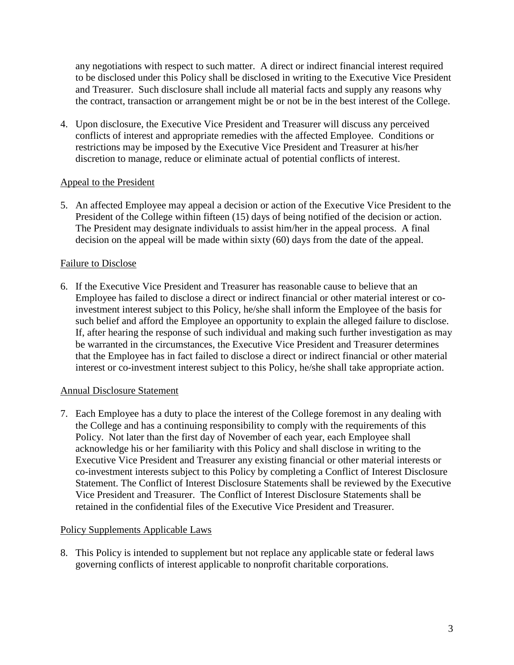any negotiations with respect to such matter. A direct or indirect financial interest required to be disclosed under this Policy shall be disclosed in writing to the Executive Vice President and Treasurer. Such disclosure shall include all material facts and supply any reasons why the contract, transaction or arrangement might be or not be in the best interest of the College.

4. Upon disclosure, the Executive Vice President and Treasurer will discuss any perceived conflicts of interest and appropriate remedies with the affected Employee. Conditions or restrictions may be imposed by the Executive Vice President and Treasurer at his/her discretion to manage, reduce or eliminate actual of potential conflicts of interest.

# Appeal to the President

5. An affected Employee may appeal a decision or action of the Executive Vice President to the President of the College within fifteen (15) days of being notified of the decision or action. The President may designate individuals to assist him/her in the appeal process. A final decision on the appeal will be made within sixty (60) days from the date of the appeal.

# Failure to Disclose

6. If the Executive Vice President and Treasurer has reasonable cause to believe that an Employee has failed to disclose a direct or indirect financial or other material interest or coinvestment interest subject to this Policy, he/she shall inform the Employee of the basis for such belief and afford the Employee an opportunity to explain the alleged failure to disclose. If, after hearing the response of such individual and making such further investigation as may be warranted in the circumstances, the Executive Vice President and Treasurer determines that the Employee has in fact failed to disclose a direct or indirect financial or other material interest or co-investment interest subject to this Policy, he/she shall take appropriate action.

## Annual Disclosure Statement

7. Each Employee has a duty to place the interest of the College foremost in any dealing with the College and has a continuing responsibility to comply with the requirements of this Policy. Not later than the first day of November of each year, each Employee shall acknowledge his or her familiarity with this Policy and shall disclose in writing to the Executive Vice President and Treasurer any existing financial or other material interests or co-investment interests subject to this Policy by completing a Conflict of Interest Disclosure Statement. The Conflict of Interest Disclosure Statements shall be reviewed by the Executive Vice President and Treasurer. The Conflict of Interest Disclosure Statements shall be retained in the confidential files of the Executive Vice President and Treasurer.

## Policy Supplements Applicable Laws

8. This Policy is intended to supplement but not replace any applicable state or federal laws governing conflicts of interest applicable to nonprofit charitable corporations.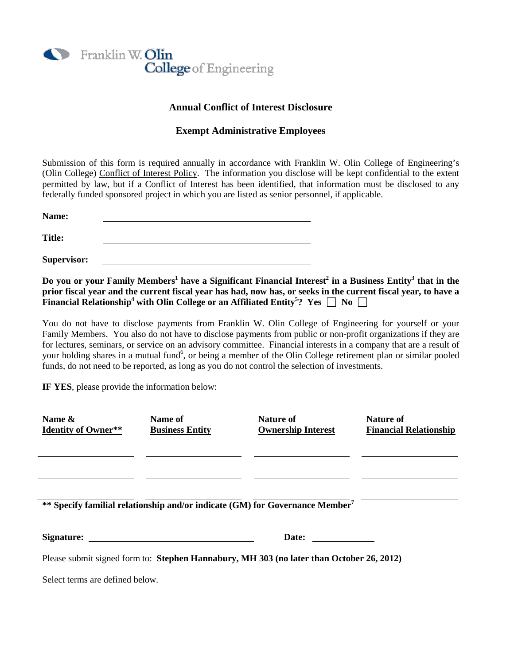

### **Annual Conflict of Interest Disclosure**

#### **Exempt Administrative Employees**

Submission of this form is required annually in accordance with Franklin W. Olin College of Engineering's (Olin College) Conflict of Interest Policy. The information you disclose will be kept confidential to the extent permitted by law, but if a Conflict of Interest has been identified, that information must be disclosed to any federally funded sponsored project in which you are listed as senior personnel, if applicable.

**Name: Title:**

**Supervisor:**

**Do you or your Family Members<sup>1</sup> have a Significant Financial Interest<sup>2</sup> in a Business Entity<sup>3</sup> that in the prior fiscal year and the current fiscal year has had, now has, or seeks in the current fiscal year, to have a Financial Relationship** $^4$  **with Olin College or an Affiliated Entity** $^5$ **? Yes**  $\Box$  **No** 

You do not have to disclose payments from Franklin W. Olin College of Engineering for yourself or your Family Members. You also do not have to disclose payments from public or non-profit organizations if they are for lectures, seminars, or service on an advisory committee. Financial interests in a company that are a result of your holding shares in a mutual fund<sup>6</sup>, or being a member of the Olin College retirement plan or similar pooled funds, do not need to be reported, as long as you do not control the selection of investments.

**IF YES**, please provide the information below:

| Name &<br><b>Identity of Owner**</b>                                                                                                                                                                                           | Name of<br><b>Business Entity</b>                                                        | Nature of<br><b>Ownership Interest</b> | Nature of<br><b>Financial Relationship</b> |
|--------------------------------------------------------------------------------------------------------------------------------------------------------------------------------------------------------------------------------|------------------------------------------------------------------------------------------|----------------------------------------|--------------------------------------------|
|                                                                                                                                                                                                                                |                                                                                          |                                        |                                            |
|                                                                                                                                                                                                                                | ** Specify familial relationship and/or indicate (GM) for Governance Member <sup>7</sup> |                                        |                                            |
| Signature: the contract of the contract of the contract of the contract of the contract of the contract of the contract of the contract of the contract of the contract of the contract of the contract of the contract of the |                                                                                          | Date:                                  |                                            |
| Please submit signed form to: Stephen Hannabury, MH 303 (no later than October 26, 2012)                                                                                                                                       |                                                                                          |                                        |                                            |

Select terms are defined below.